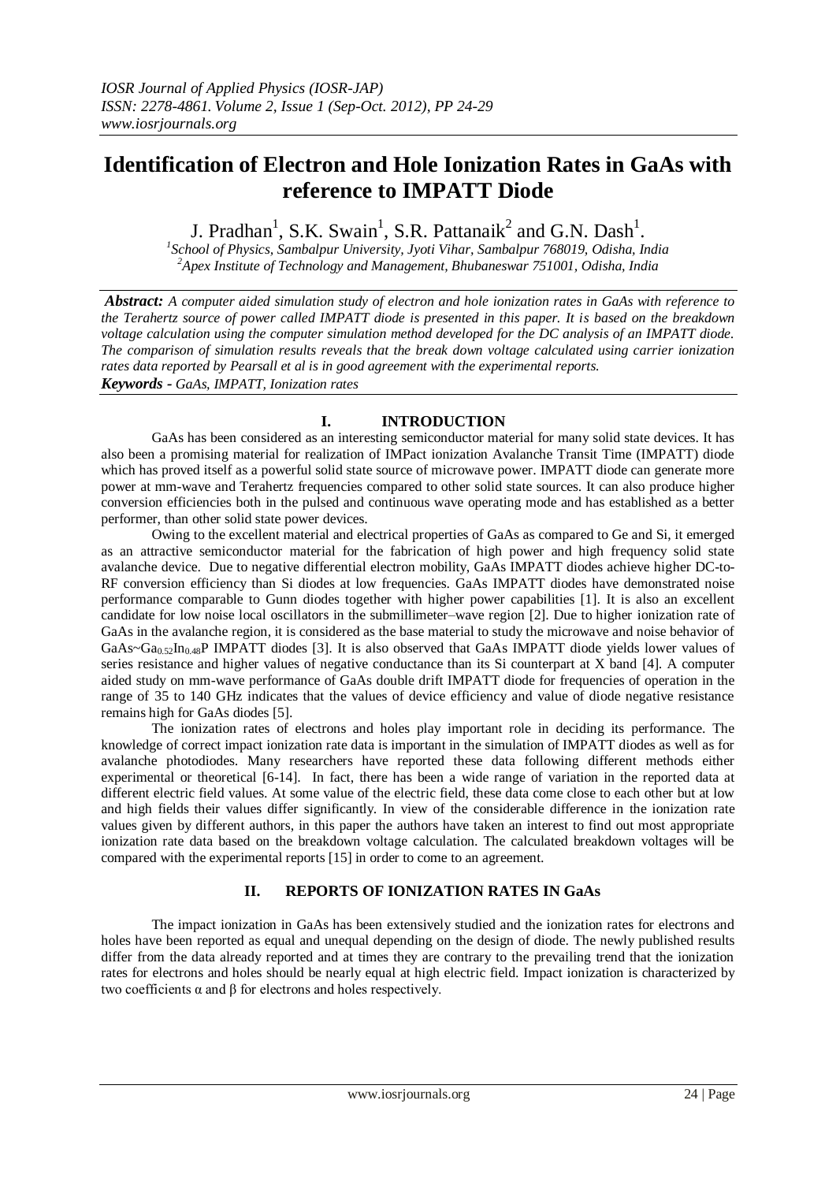# **Identification of Electron and Hole Ionization Rates in GaAs with reference to IMPATT Diode**

J. Pradhan<sup>1</sup>, S.K. Swain<sup>1</sup>, S.R. Pattanaik<sup>2</sup> and G.N. Dash<sup>1</sup>.

*1 School of Physics, Sambalpur University, Jyoti Vihar, Sambalpur 768019, Odisha, India <sup>2</sup>Apex Institute of Technology and Management, Bhubaneswar 751001, Odisha, India*

*Abstract: A computer aided simulation study of electron and hole ionization rates in GaAs with reference to the Terahertz source of power called IMPATT diode is presented in this paper. It is based on the breakdown voltage calculation using the computer simulation method developed for the DC analysis of an IMPATT diode. The comparison of simulation results reveals that the break down voltage calculated using carrier ionization rates data reported by Pearsall et al is in good agreement with the experimental reports. Keywords - GaAs, IMPATT, Ionization rates*

# **I. INTRODUCTION**

GaAs has been considered as an interesting semiconductor material for many solid state devices. It has also been a promising material for realization of IMPact ionization Avalanche Transit Time (IMPATT) diode which has proved itself as a powerful solid state source of microwave power. IMPATT diode can generate more power at mm-wave and Terahertz frequencies compared to other solid state sources. It can also produce higher conversion efficiencies both in the pulsed and continuous wave operating mode and has established as a better performer, than other solid state power devices.

Owing to the excellent material and electrical properties of GaAs as compared to Ge and Si, it emerged as an attractive semiconductor material for the fabrication of high power and high frequency solid state avalanche device. Due to negative differential electron mobility, GaAs IMPATT diodes achieve higher DC-to-RF conversion efficiency than Si diodes at low frequencies. GaAs IMPATT diodes have demonstrated noise performance comparable to Gunn diodes together with higher power capabilities [1]. It is also an excellent candidate for low noise local oscillators in the submillimeter–wave region [2]. Due to higher ionization rate of GaAs in the avalanche region, it is considered as the base material to study the microwave and noise behavior of GaAs~Ga<sub>0.52</sub>In<sub>0.48</sub>P IMPATT diodes [3]. It is also observed that GaAs IMPATT diode yields lower values of series resistance and higher values of negative conductance than its Si counterpart at X band [4]. A computer aided study on mm-wave performance of GaAs double drift IMPATT diode for frequencies of operation in the range of 35 to 140 GHz indicates that the values of device efficiency and value of diode negative resistance remains high for GaAs diodes [5].

The ionization rates of electrons and holes play important role in deciding its performance. The knowledge of correct impact ionization rate data is important in the simulation of IMPATT diodes as well as for avalanche photodiodes. Many researchers have reported these data following different methods either experimental or theoretical [6-14]. In fact, there has been a wide range of variation in the reported data at different electric field values. At some value of the electric field, these data come close to each other but at low and high fields their values differ significantly. In view of the considerable difference in the ionization rate values given by different authors, in this paper the authors have taken an interest to find out most appropriate ionization rate data based on the breakdown voltage calculation. The calculated breakdown voltages will be compared with the experimental reports [15] in order to come to an agreement.

# **II. REPORTS OF IONIZATION RATES IN GaAs**

The impact ionization in GaAs has been extensively studied and the ionization rates for electrons and holes have been reported as equal and unequal depending on the design of diode. The newly published results differ from the data already reported and at times they are contrary to the prevailing trend that the ionization rates for electrons and holes should be nearly equal at high electric field. Impact ionization is characterized by two coefficients α and β for electrons and holes respectively.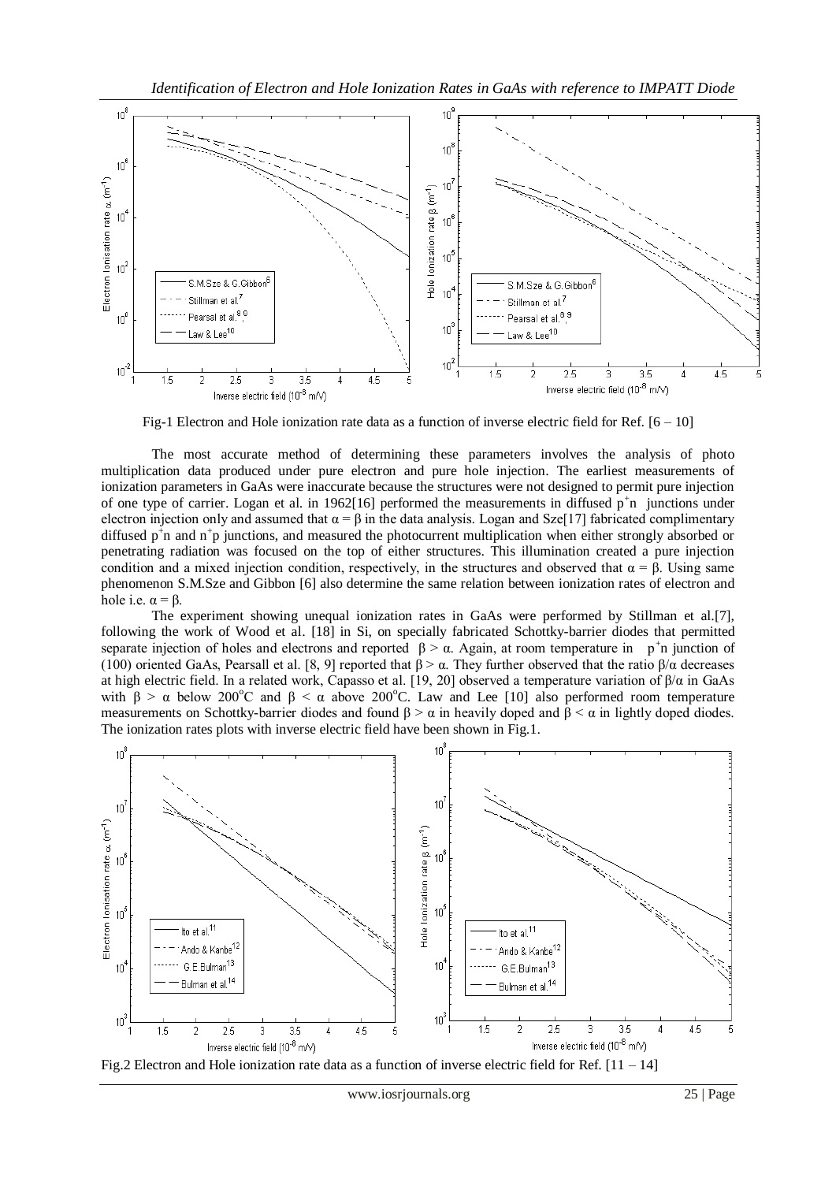

Fig-1 Electron and Hole ionization rate data as a function of inverse electric field for Ref.  $[6 - 10]$ 

The most accurate method of determining these parameters involves the analysis of photo multiplication data produced under pure electron and pure hole injection. The earliest measurements of ionization parameters in GaAs were inaccurate because the structures were not designed to permit pure injection of one type of carrier. Logan et al. in 1962[16] performed the measurements in diffused  $p^{\dagger}$ n junctions under electron injection only and assumed that  $\alpha = \beta$  in the data analysis. Logan and Sze[17] fabricated complimentary diffused  $p^{\dagger}$ n and  $n^{\dagger}$ p junctions, and measured the photocurrent multiplication when either strongly absorbed or penetrating radiation was focused on the top of either structures. This illumination created a pure injection condition and a mixed injection condition, respectively, in the structures and observed that  $\alpha = \beta$ . Using same phenomenon S.M.Sze and Gibbon [6] also determine the same relation between ionization rates of electron and hole i.e.  $\alpha = \beta$ .

The experiment showing unequal ionization rates in GaAs were performed by Stillman et al.[7], following the work of Wood et al. [18] in Si, on specially fabricated Schottky-barrier diodes that permitted separate injection of holes and electrons and reported  $\beta > \alpha$ . Again, at room temperature in p<sup>+</sup>n junction of (100) oriented GaAs, Pearsall et al. [8, 9] reported that  $\beta > \alpha$ . They further observed that the ratio  $\beta/\alpha$  decreases at high electric field. In a related work, Capasso et al. [19, 20] observed a temperature variation of β/α in GaAs with  $\beta > \alpha$  below 200°C and  $\beta < \alpha$  above 200°C. Law and Lee [10] also performed room temperature measurements on Schottky-barrier diodes and found  $\beta > \alpha$  in heavily doped and  $\beta < \alpha$  in lightly doped diodes. The ionization rates plots with inverse electric field have been shown in Fig.1.



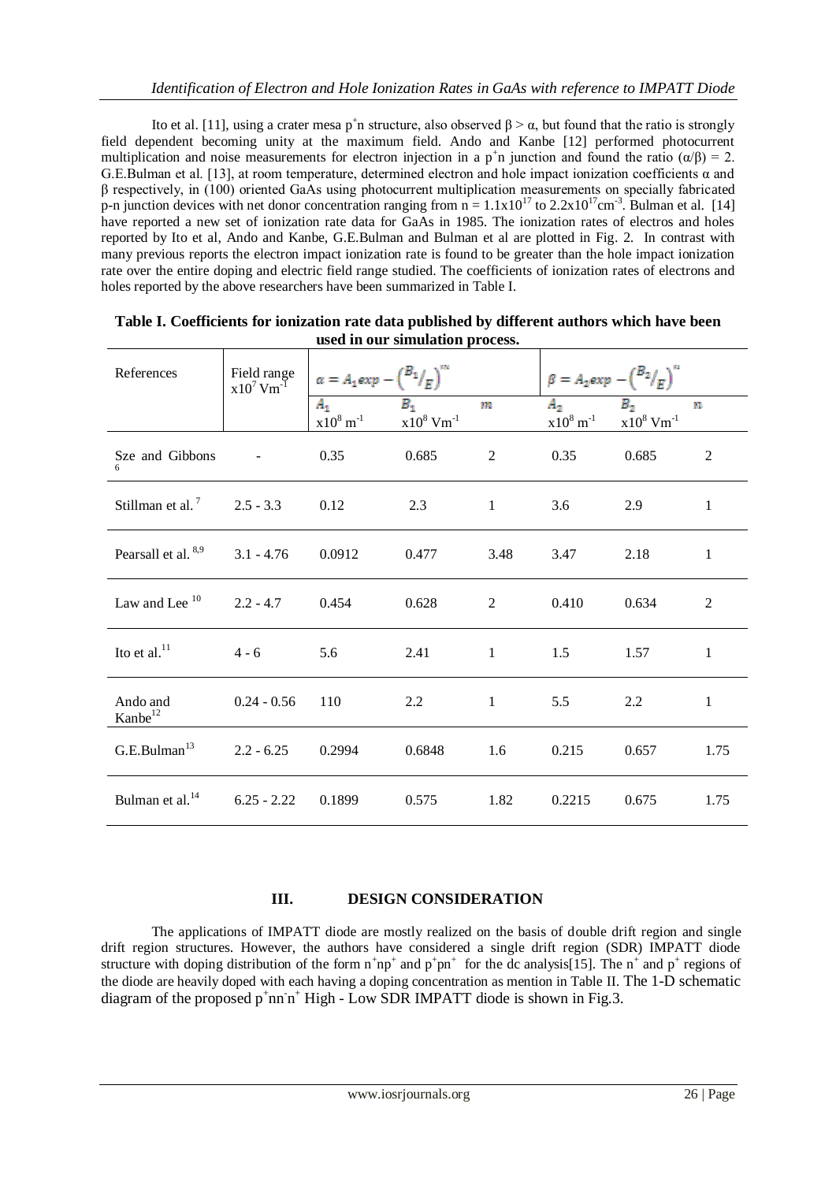Ito et al. [11], using a crater mesa p<sup>+</sup>n structure, also observed  $\beta > \alpha$ , but found that the ratio is strongly field dependent becoming unity at the maximum field. Ando and Kanbe [12] performed photocurrent multiplication and noise measurements for electron injection in a  $p^{\dagger}n$  junction and found the ratio  $(\alpha/\beta) = 2$ . G.E.Bulman et al. [13], at room temperature, determined electron and hole impact ionization coefficients α and β respectively, in (100) oriented GaAs using photocurrent multiplication measurements on specially fabricated p-n junction devices with net donor concentration ranging from  $n = 1.1x10^{17}$  to  $2.2x10^{17}$ cm<sup>-3</sup>. Bulman et al. [14] have reported a new set of ionization rate data for GaAs in 1985. The ionization rates of electros and holes reported by Ito et al, Ando and Kanbe, G.E.Bulman and Bulman et al are plotted in Fig. 2. In contrast with many previous reports the electron impact ionization rate is found to be greater than the hole impact ionization rate over the entire doping and electric field range studied. The coefficients of ionization rates of electrons and holes reported by the above researchers have been summarized in Table I.

| References                              | Field range<br>$x10^7$ Vm <sup>-1</sup> | $\alpha = A_1 exp - {B_1 / \choose F}^{m}$ |                                   |              | $\beta = A_2 exp - {B_2 \choose F}^n$ |                                   |                |
|-----------------------------------------|-----------------------------------------|--------------------------------------------|-----------------------------------|--------------|---------------------------------------|-----------------------------------|----------------|
|                                         |                                         | $A_{1}$<br>$x10^8$ m <sup>-1</sup>         | $B_1$<br>$x10^8$ Vm <sup>-1</sup> | m            | $A_2$<br>$x10^8 \text{ m}^{-1}$       | $B_2$<br>$x10^8$ Vm <sup>-1</sup> | n              |
| Sze and Gibbons                         | $\blacksquare$                          | 0.35                                       | 0.685                             | 2            | 0.35                                  | 0.685                             | $\overline{2}$ |
| Stillman et al. <sup>7</sup> 2.5 - 3.3  |                                         | 0.12                                       | 2.3                               | $\mathbf{1}$ | 3.6                                   | 2.9                               | 1              |
| Pearsall et al. 8,9                     | $3.1 - 4.76$                            | 0.0912                                     | 0.477                             | 3.48         | 3.47                                  | 2.18                              | $\mathbf{1}$   |
| Law and Lee <sup>10</sup>               | $2.2 - 4.7$                             | 0.454                                      | 0.628                             | 2            | 0.410                                 | 0.634                             | 2              |
| Ito et al. <sup>11</sup>                | $4 - 6$                                 | 5.6                                        | 2.41                              | $\mathbf{1}$ | 1.5                                   | 1.57                              | $\mathbf{1}$   |
| Ando and<br>Kanbe <sup>12</sup>         | $0.24 - 0.56$                           | 110                                        | 2.2                               | $\mathbf{1}$ | 5.5                                   | 2.2                               | $\mathbf{1}$   |
| G.E.Bulman <sup>13</sup>                | $2.2 - 6.25$                            | 0.2994                                     | 0.6848                            | 1.6          | 0.215                                 | 0.657                             | 1.75           |
| Bulman et al. <sup>14</sup> 6.25 - 2.22 |                                         | 0.1899                                     | 0.575                             | 1.82         | 0.2215                                | 0.675                             | 1.75           |

| Table I. Coefficients for ionization rate data published by different authors which have been |  |
|-----------------------------------------------------------------------------------------------|--|
| used in our simulation process.                                                               |  |

## **III. DESIGN CONSIDERATION**

The applications of IMPATT diode are mostly realized on the basis of double drift region and single drift region structures. However, the authors have considered a single drift region (SDR) IMPATT diode structure with doping distribution of the form  $n^+np^+$  and  $p^+pn^+$  for the dc analysis[15]. The  $n^+$  and  $p^+$  regions of the diode are heavily doped with each having a doping concentration as mention in Table II. The 1-D schematic diagram of the proposed  $p^+nn^-n^+$  High - Low SDR IMPATT diode is shown in Fig.3.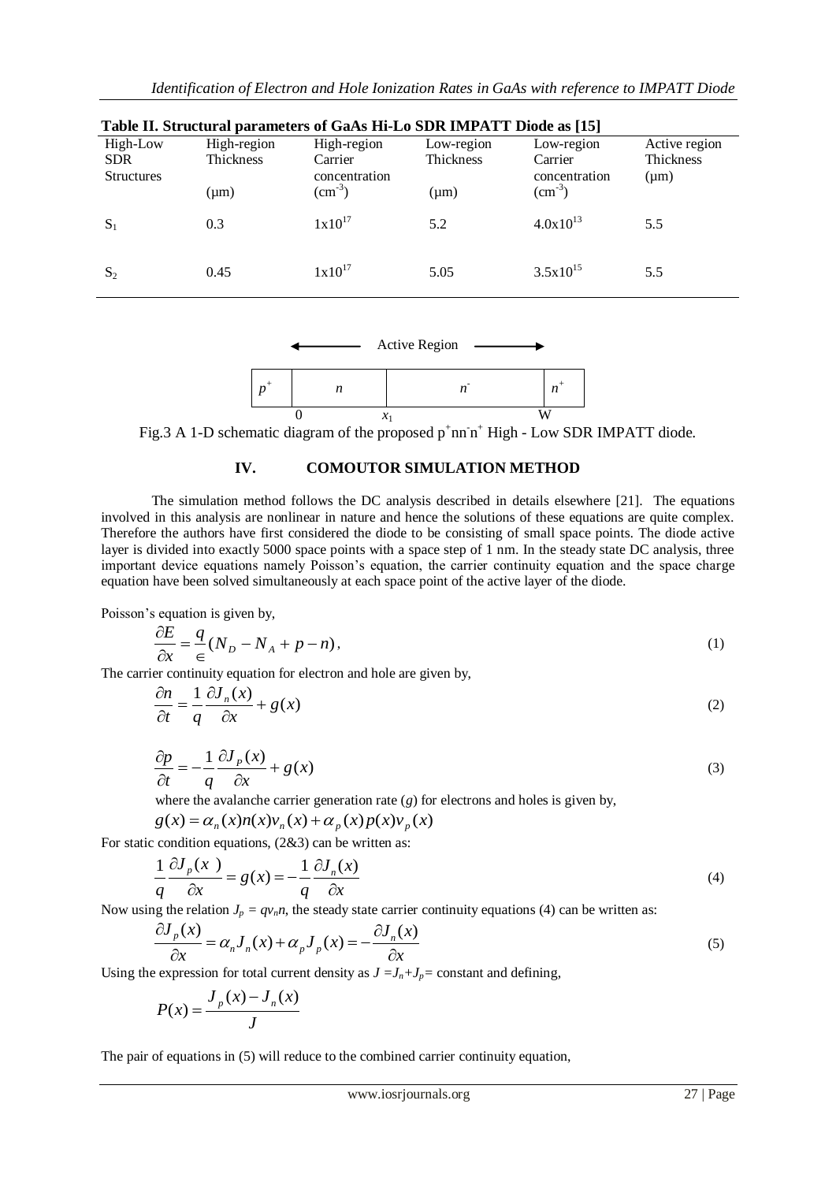| Table II. Structural parameters of GaAs Hi-Lo SDR IMPATT Diode as [15] |                  |                    |                  |                    |               |  |  |  |
|------------------------------------------------------------------------|------------------|--------------------|------------------|--------------------|---------------|--|--|--|
| High-Low                                                               | High-region      | High-region        | Low-region       | Low-region         | Active region |  |  |  |
| <b>SDR</b>                                                             | <b>Thickness</b> | Carrier            | <b>Thickness</b> | Carrier            | Thickness     |  |  |  |
| <b>Structures</b>                                                      |                  | concentration      |                  | concentration      | $(\mu m)$     |  |  |  |
|                                                                        | $(\mu m)$        | $\text{cm}^{-3}$ ) | $(\mu m)$        | $\text{cm}^{-3}$ ) |               |  |  |  |
| $S_1$                                                                  | 0.3              | $1x10^{17}$        | 5.2              | $4.0x10^{13}$      | 5.5           |  |  |  |
| $S_2$                                                                  | 0.45             | $1x10^{17}$        | 5.05             | $3.5x10^{15}$      | 5.5           |  |  |  |



Fig.3 A 1-D schematic diagram of the proposed  $p^+$ nn n<sup>+</sup> High - Low SDR IMPATT diode.

### **IV. COMOUTOR SIMULATION METHOD**

The simulation method follows the DC analysis described in details elsewhere [21]. The equations involved in this analysis are nonlinear in nature and hence the solutions of these equations are quite complex. Therefore the authors have first considered the diode to be consisting of small space points. The diode active layer is divided into exactly 5000 space points with a space step of 1 nm. In the steady state DC analysis, three important device equations namely Poisson's equation, the carrier continuity equation and the space charge equation have been solved simultaneously at each space point of the active layer of the diode.

Poisson's equation is given by,

$$
\frac{\partial E}{\partial x} = \frac{q}{\epsilon} (N_D - N_A + p - n),\tag{1}
$$

The carrier continuity equation for electron and hole are given by,

$$
\frac{\partial n}{\partial t} = \frac{1}{q} \frac{\partial J_n(x)}{\partial x} + g(x) \tag{2}
$$

$$
\frac{\partial p}{\partial t} = -\frac{1}{q} \frac{\partial J_p(x)}{\partial x} + g(x) \tag{3}
$$

where the avalanche carrier generation rate (*g*) for electrons and holes is given by,

$$
g(x) = \alpha_n(x)n(x)v_n(x) + \alpha_p(x)p(x)v_p(x)
$$

For static condition equations, (2&3) can be written as:  
\n
$$
\frac{1}{q} \frac{\partial J_p(x)}{\partial x} = g(x) = -\frac{1}{q} \frac{\partial J_n(x)}{\partial x}
$$
\n(4)

Now using the relation 
$$
J_p = qv_n n
$$
, the steady state carrier continuity equations (4) can be written as:  
\n
$$
\frac{\partial J_p(x)}{\partial x} = \alpha_n J_n(x) + \alpha_p J_p(x) = -\frac{\partial J_n(x)}{\partial x}
$$
\nUsing the expression for total current density as  $J = J_n + J_p = \text{constant}$  and defining,

$$
P(x) = \frac{J_p(x) - J_n(x)}{J}
$$

The pair of equations in (5) will reduce to the combined carrier continuity equation,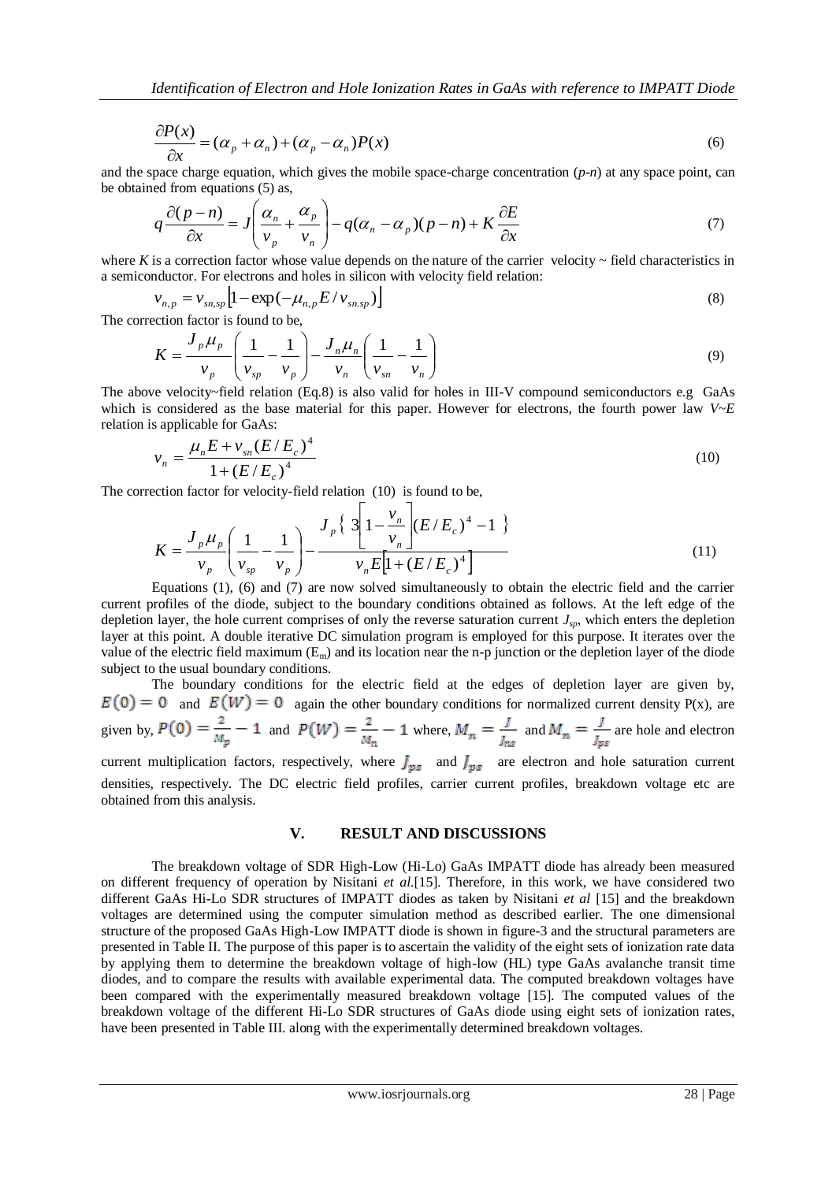$$
\frac{\partial P(x)}{\partial x} = (\alpha_p + \alpha_n) + (\alpha_p - \alpha_n)P(x)
$$
\n(6)

and the space charge equation, which gives the mobile space-charge concentration (*p-n*) at any space point, can be obtained from equations (5) as,

$$
q\frac{\partial(p-n)}{\partial x} = J\left(\frac{\alpha_n}{v_p} + \frac{\alpha_p}{v_n}\right) - q(\alpha_n - \alpha_p)(p-n) + K\frac{\partial E}{\partial x}
$$
\n(7)

where  $K$  is a correction factor whose value depends on the nature of the carrier velocity  $\sim$  field characteristics in a semiconductor. For electrons and holes in silicon with velocity field relation:

$$
v_{n,p} = v_{sn,sp} \left[ 1 - \exp(-\mu_{n,p} E / v_{sn,sp}) \right]
$$
\n<sup>(8)</sup>

The correction factor is found to be,

$$
K = \frac{J_p \mu_p}{v_p} \left( \frac{1}{v_{sp}} - \frac{1}{v_p} \right) - \frac{J_n \mu_n}{v_n} \left( \frac{1}{v_{sn}} - \frac{1}{v_n} \right)
$$
(9)

The above velocity~field relation (Eq.8) is also valid for holes in III-V compound semiconductors e.g GaAs which is considered as the base material for this paper. However for electrons, the fourth power law *V~E* relation is applicable for GaAs:

$$
v_n = \frac{\mu_n E + v_{sn} (E/E_c)^4}{1 + (E/E_c)^4}
$$
 (10)

The correction factor for velocity-field relation (10) is found to be,

$$
K = \frac{J_p \mu_p}{v_p} \left( \frac{1}{v_{sp}} - \frac{1}{v_p} \right) - \frac{J_p \left\{ 3 \left[ 1 - \frac{v_n}{v_n} \right] (E/E_c)^4 - 1 \right\}}{v_n E \left[ 1 + (E/E_c)^4 \right]}
$$
(11)

Equations (1), (6) and (7) are now solved simultaneously to obtain the electric field and the carrier current profiles of the diode, subject to the boundary conditions obtained as follows. At the left edge of the depletion layer, the hole current comprises of only the reverse saturation current *Jsp*, which enters the depletion layer at this point. A double iterative DC simulation program is employed for this purpose. It iterates over the value of the electric field maximum  $(E_m)$  and its location near the n-p junction or the depletion layer of the diode subject to the usual boundary conditions.

The boundary conditions for the electric field at the edges of depletion layer are given by,  $E(0) = 0$  and  $E(W) = 0$  again the other boundary conditions for normalized current density P(x), are given by,  $P(0) = \frac{2}{M_p} - 1$  and  $P(W) = \frac{2}{M_n} - 1$  where,  $M_n = \frac{J}{J_{ns}}$  and  $M_n = \frac{J}{J_{ps}}$  are hole and electron

current multiplication factors, respectively, where  $J_{\nu s}$  and  $J_{\nu s}$  are electron and hole saturation current densities, respectively. The DC electric field profiles, carrier current profiles, breakdown voltage etc are obtained from this analysis.

#### **V. RESULT AND DISCUSSIONS**

The breakdown voltage of SDR High-Low (Hi-Lo) GaAs IMPATT diode has already been measured on different frequency of operation by Nisitani *et al.*[15]. Therefore, in this work, we have considered two different GaAs Hi-Lo SDR structures of IMPATT diodes as taken by Nisitani *et al* [15] and the breakdown voltages are determined using the computer simulation method as described earlier. The one dimensional structure of the proposed GaAs High-Low IMPATT diode is shown in figure-3 and the structural parameters are presented in Table II. The purpose of this paper is to ascertain the validity of the eight sets of ionization rate data by applying them to determine the breakdown voltage of high-low (HL) type GaAs avalanche transit time diodes, and to compare the results with available experimental data. The computed breakdown voltages have been compared with the experimentally measured breakdown voltage [15]. The computed values of the breakdown voltage of the different Hi-Lo SDR structures of GaAs diode using eight sets of ionization rates, have been presented in Table III. along with the experimentally determined breakdown voltages.